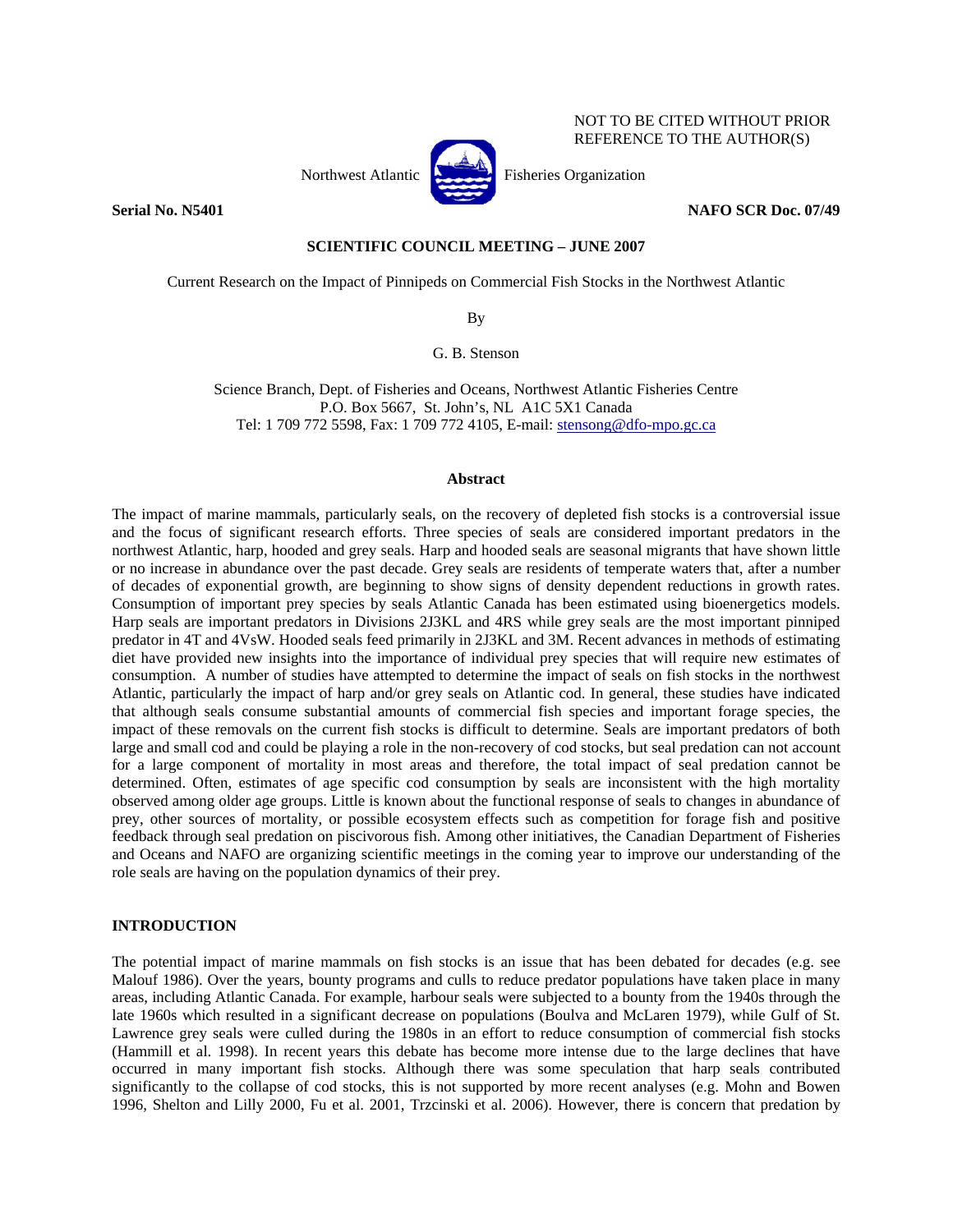

NOT TO BE CITED WITHOUT PRIOR REFERENCE TO THE AUTHOR(S)

## **Serial No. N5401 NAFO SCR Doc. 07/49 NAFO SCR Doc. 07/49**

## **SCIENTIFIC COUNCIL MEETING – JUNE 2007**

Current Research on the Impact of Pinnipeds on Commercial Fish Stocks in the Northwest Atlantic

By

G. B. Stenson

Science Branch, Dept. of Fisheries and Oceans, Northwest Atlantic Fisheries Centre P.O. Box 5667, St. John's, NL A1C 5X1 Canada Tel: 1 709 772 5598, Fax: 1 709 772 4105, E-mail: stensong@dfo-mpo.gc.ca

### **Abstract**

The impact of marine mammals, particularly seals, on the recovery of depleted fish stocks is a controversial issue and the focus of significant research efforts. Three species of seals are considered important predators in the northwest Atlantic, harp, hooded and grey seals. Harp and hooded seals are seasonal migrants that have shown little or no increase in abundance over the past decade. Grey seals are residents of temperate waters that, after a number of decades of exponential growth, are beginning to show signs of density dependent reductions in growth rates. Consumption of important prey species by seals Atlantic Canada has been estimated using bioenergetics models. Harp seals are important predators in Divisions 2J3KL and 4RS while grey seals are the most important pinniped predator in 4T and 4VsW. Hooded seals feed primarily in 2J3KL and 3M. Recent advances in methods of estimating diet have provided new insights into the importance of individual prey species that will require new estimates of consumption. A number of studies have attempted to determine the impact of seals on fish stocks in the northwest Atlantic, particularly the impact of harp and/or grey seals on Atlantic cod. In general, these studies have indicated that although seals consume substantial amounts of commercial fish species and important forage species, the impact of these removals on the current fish stocks is difficult to determine. Seals are important predators of both large and small cod and could be playing a role in the non-recovery of cod stocks, but seal predation can not account for a large component of mortality in most areas and therefore, the total impact of seal predation cannot be determined. Often, estimates of age specific cod consumption by seals are inconsistent with the high mortality observed among older age groups. Little is known about the functional response of seals to changes in abundance of prey, other sources of mortality, or possible ecosystem effects such as competition for forage fish and positive feedback through seal predation on piscivorous fish. Among other initiatives, the Canadian Department of Fisheries and Oceans and NAFO are organizing scientific meetings in the coming year to improve our understanding of the role seals are having on the population dynamics of their prey.

## **INTRODUCTION**

The potential impact of marine mammals on fish stocks is an issue that has been debated for decades (e.g. see Malouf 1986). Over the years, bounty programs and culls to reduce predator populations have taken place in many areas, including Atlantic Canada. For example, harbour seals were subjected to a bounty from the 1940s through the late 1960s which resulted in a significant decrease on populations (Boulva and McLaren 1979), while Gulf of St. Lawrence grey seals were culled during the 1980s in an effort to reduce consumption of commercial fish stocks (Hammill et al. 1998). In recent years this debate has become more intense due to the large declines that have occurred in many important fish stocks. Although there was some speculation that harp seals contributed significantly to the collapse of cod stocks, this is not supported by more recent analyses (e.g. Mohn and Bowen 1996, Shelton and Lilly 2000, Fu et al. 2001, Trzcinski et al. 2006). However, there is concern that predation by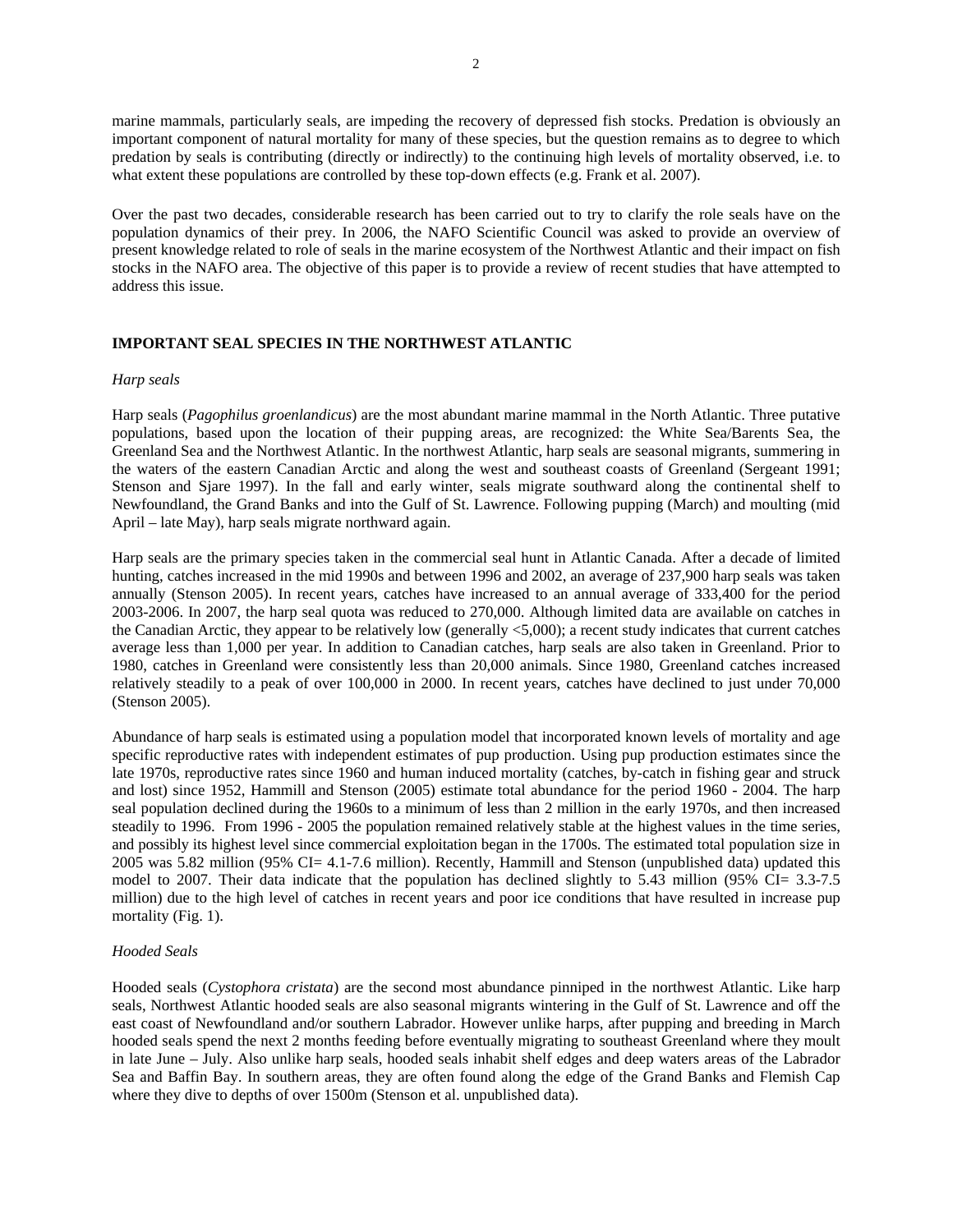marine mammals, particularly seals, are impeding the recovery of depressed fish stocks. Predation is obviously an important component of natural mortality for many of these species, but the question remains as to degree to which predation by seals is contributing (directly or indirectly) to the continuing high levels of mortality observed, i.e. to what extent these populations are controlled by these top-down effects (e.g. Frank et al. 2007).

Over the past two decades, considerable research has been carried out to try to clarify the role seals have on the population dynamics of their prey. In 2006, the NAFO Scientific Council was asked to provide an overview of present knowledge related to role of seals in the marine ecosystem of the Northwest Atlantic and their impact on fish stocks in the NAFO area. The objective of this paper is to provide a review of recent studies that have attempted to address this issue.

## **IMPORTANT SEAL SPECIES IN THE NORTHWEST ATLANTIC**

### *Harp seals*

Harp seals (*Pagophilus groenlandicus*) are the most abundant marine mammal in the North Atlantic. Three putative populations, based upon the location of their pupping areas, are recognized: the White Sea/Barents Sea, the Greenland Sea and the Northwest Atlantic. In the northwest Atlantic, harp seals are seasonal migrants, summering in the waters of the eastern Canadian Arctic and along the west and southeast coasts of Greenland (Sergeant 1991; Stenson and Sjare 1997). In the fall and early winter, seals migrate southward along the continental shelf to Newfoundland, the Grand Banks and into the Gulf of St. Lawrence. Following pupping (March) and moulting (mid April – late May), harp seals migrate northward again.

Harp seals are the primary species taken in the commercial seal hunt in Atlantic Canada. After a decade of limited hunting, catches increased in the mid 1990s and between 1996 and 2002, an average of 237,900 harp seals was taken annually (Stenson 2005). In recent years, catches have increased to an annual average of 333,400 for the period 2003-2006. In 2007, the harp seal quota was reduced to 270,000. Although limited data are available on catches in the Canadian Arctic, they appear to be relatively low (generally <5,000); a recent study indicates that current catches average less than 1,000 per year. In addition to Canadian catches, harp seals are also taken in Greenland. Prior to 1980, catches in Greenland were consistently less than 20,000 animals. Since 1980, Greenland catches increased relatively steadily to a peak of over 100,000 in 2000. In recent years, catches have declined to just under 70,000 (Stenson 2005).

Abundance of harp seals is estimated using a population model that incorporated known levels of mortality and age specific reproductive rates with independent estimates of pup production. Using pup production estimates since the late 1970s, reproductive rates since 1960 and human induced mortality (catches, by-catch in fishing gear and struck and lost) since 1952, Hammill and Stenson (2005) estimate total abundance for the period 1960 - 2004. The harp seal population declined during the 1960s to a minimum of less than 2 million in the early 1970s, and then increased steadily to 1996. From 1996 - 2005 the population remained relatively stable at the highest values in the time series, and possibly its highest level since commercial exploitation began in the 1700s. The estimated total population size in 2005 was 5.82 million (95% CI= 4.1-7.6 million). Recently, Hammill and Stenson (unpublished data) updated this model to 2007. Their data indicate that the population has declined slightly to 5.43 million (95% CI= 3.3-7.5 million) due to the high level of catches in recent years and poor ice conditions that have resulted in increase pup mortality (Fig. 1).

### *Hooded Seals*

Hooded seals (*Cystophora cristata*) are the second most abundance pinniped in the northwest Atlantic. Like harp seals, Northwest Atlantic hooded seals are also seasonal migrants wintering in the Gulf of St. Lawrence and off the east coast of Newfoundland and/or southern Labrador. However unlike harps, after pupping and breeding in March hooded seals spend the next 2 months feeding before eventually migrating to southeast Greenland where they moult in late June – July. Also unlike harp seals, hooded seals inhabit shelf edges and deep waters areas of the Labrador Sea and Baffin Bay. In southern areas, they are often found along the edge of the Grand Banks and Flemish Cap where they dive to depths of over 1500m (Stenson et al. unpublished data).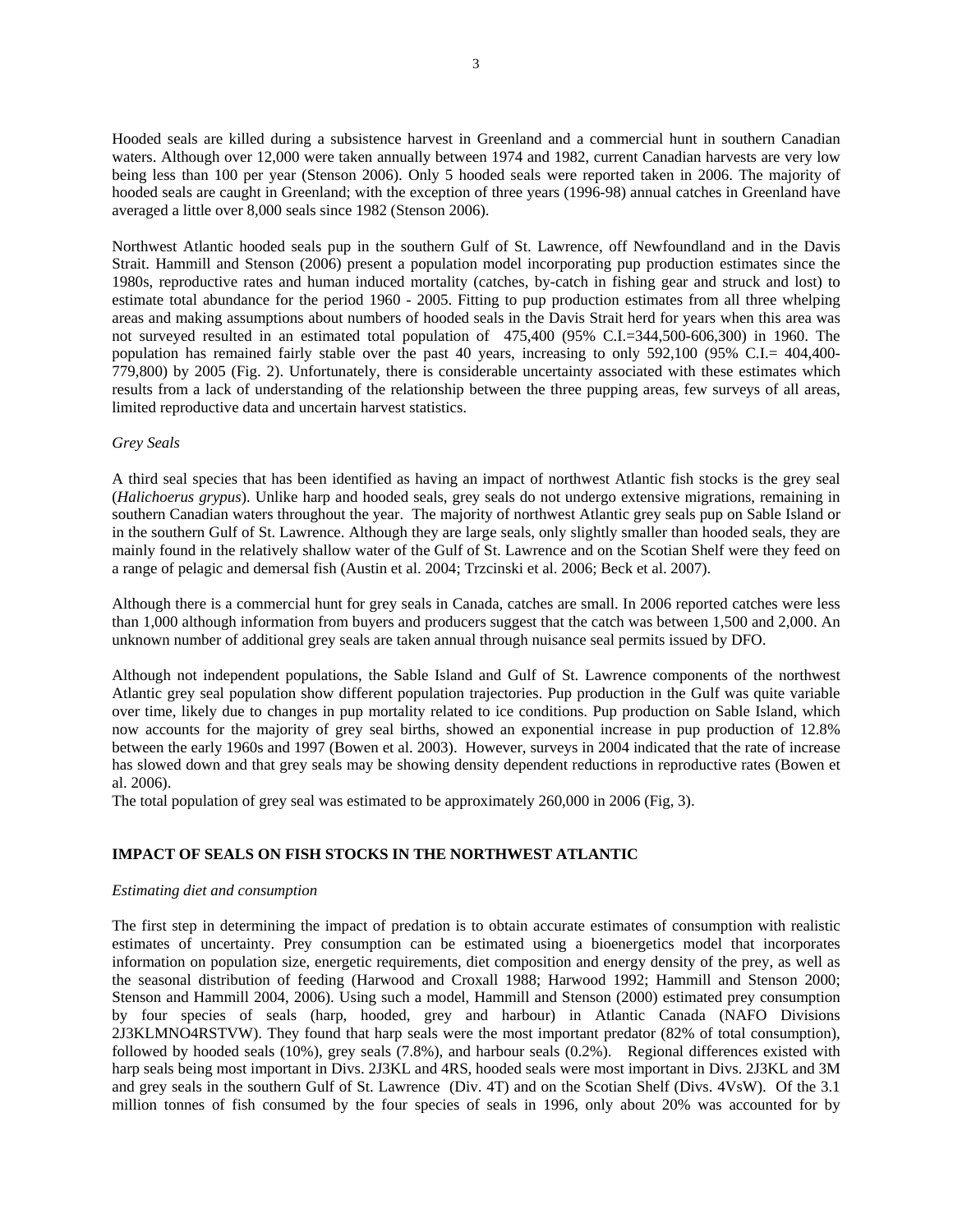Hooded seals are killed during a subsistence harvest in Greenland and a commercial hunt in southern Canadian waters. Although over 12,000 were taken annually between 1974 and 1982, current Canadian harvests are very low being less than 100 per year (Stenson 2006). Only 5 hooded seals were reported taken in 2006. The majority of hooded seals are caught in Greenland; with the exception of three years (1996-98) annual catches in Greenland have averaged a little over 8,000 seals since 1982 (Stenson 2006).

Northwest Atlantic hooded seals pup in the southern Gulf of St. Lawrence, off Newfoundland and in the Davis Strait. Hammill and Stenson (2006) present a population model incorporating pup production estimates since the 1980s, reproductive rates and human induced mortality (catches, by-catch in fishing gear and struck and lost) to estimate total abundance for the period 1960 - 2005. Fitting to pup production estimates from all three whelping areas and making assumptions about numbers of hooded seals in the Davis Strait herd for years when this area was not surveyed resulted in an estimated total population of 475,400 (95% C.I.=344,500-606,300) in 1960. The population has remained fairly stable over the past 40 years, increasing to only 592,100 (95% C.I.= 404,400- 779,800) by 2005 (Fig. 2). Unfortunately, there is considerable uncertainty associated with these estimates which results from a lack of understanding of the relationship between the three pupping areas, few surveys of all areas, limited reproductive data and uncertain harvest statistics.

## *Grey Seals*

A third seal species that has been identified as having an impact of northwest Atlantic fish stocks is the grey seal (*Halichoerus grypus*). Unlike harp and hooded seals, grey seals do not undergo extensive migrations, remaining in southern Canadian waters throughout the year. The majority of northwest Atlantic grey seals pup on Sable Island or in the southern Gulf of St. Lawrence. Although they are large seals, only slightly smaller than hooded seals, they are mainly found in the relatively shallow water of the Gulf of St. Lawrence and on the Scotian Shelf were they feed on a range of pelagic and demersal fish (Austin et al. 2004; Trzcinski et al. 2006; Beck et al. 2007).

Although there is a commercial hunt for grey seals in Canada, catches are small. In 2006 reported catches were less than 1,000 although information from buyers and producers suggest that the catch was between 1,500 and 2,000. An unknown number of additional grey seals are taken annual through nuisance seal permits issued by DFO.

Although not independent populations, the Sable Island and Gulf of St. Lawrence components of the northwest Atlantic grey seal population show different population trajectories. Pup production in the Gulf was quite variable over time, likely due to changes in pup mortality related to ice conditions. Pup production on Sable Island, which now accounts for the majority of grey seal births, showed an exponential increase in pup production of 12.8% between the early 1960s and 1997 (Bowen et al. 2003). However, surveys in 2004 indicated that the rate of increase has slowed down and that grey seals may be showing density dependent reductions in reproductive rates (Bowen et al. 2006).

The total population of grey seal was estimated to be approximately 260,000 in 2006 (Fig, 3).

# **IMPACT OF SEALS ON FISH STOCKS IN THE NORTHWEST ATLANTIC**

## *Estimating diet and consumption*

The first step in determining the impact of predation is to obtain accurate estimates of consumption with realistic estimates of uncertainty. Prey consumption can be estimated using a bioenergetics model that incorporates information on population size, energetic requirements, diet composition and energy density of the prey, as well as the seasonal distribution of feeding (Harwood and Croxall 1988; Harwood 1992; Hammill and Stenson 2000; Stenson and Hammill 2004, 2006). Using such a model, Hammill and Stenson (2000) estimated prey consumption by four species of seals (harp, hooded, grey and harbour) in Atlantic Canada (NAFO Divisions 2J3KLMNO4RSTVW). They found that harp seals were the most important predator (82% of total consumption), followed by hooded seals (10%), grey seals (7.8%), and harbour seals (0.2%). Regional differences existed with harp seals being most important in Divs. 2J3KL and 4RS, hooded seals were most important in Divs. 2J3KL and 3M and grey seals in the southern Gulf of St. Lawrence (Div. 4T) and on the Scotian Shelf (Divs. 4VsW). Of the 3.1 million tonnes of fish consumed by the four species of seals in 1996, only about 20% was accounted for by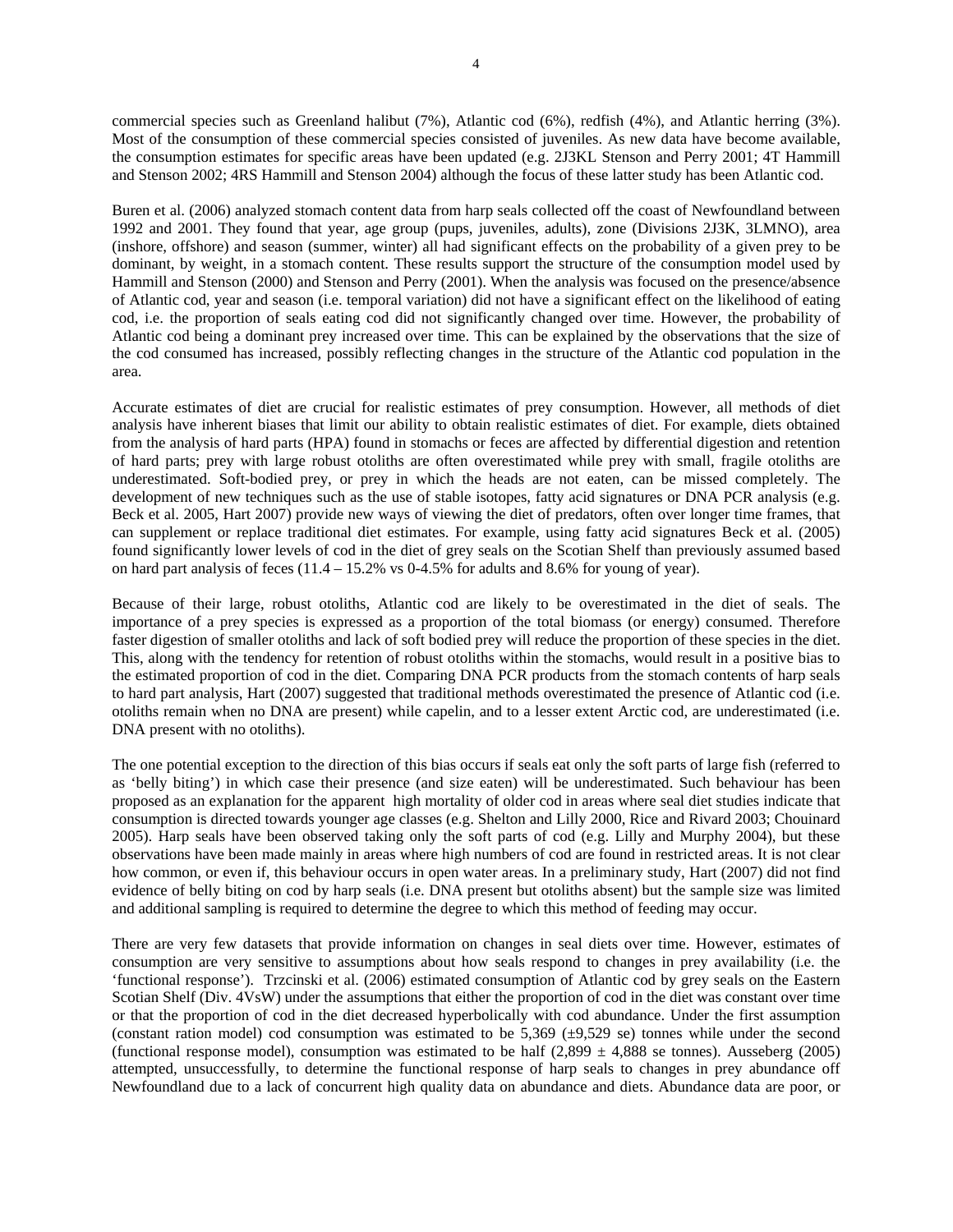commercial species such as Greenland halibut (7%), Atlantic cod (6%), redfish (4%), and Atlantic herring (3%). Most of the consumption of these commercial species consisted of juveniles. As new data have become available, the consumption estimates for specific areas have been updated (e.g. 2J3KL Stenson and Perry 2001; 4T Hammill and Stenson 2002; 4RS Hammill and Stenson 2004) although the focus of these latter study has been Atlantic cod.

Buren et al. (2006) analyzed stomach content data from harp seals collected off the coast of Newfoundland between 1992 and 2001. They found that year, age group (pups, juveniles, adults), zone (Divisions 2J3K, 3LMNO), area (inshore, offshore) and season (summer, winter) all had significant effects on the probability of a given prey to be dominant, by weight, in a stomach content. These results support the structure of the consumption model used by Hammill and Stenson (2000) and Stenson and Perry (2001). When the analysis was focused on the presence/absence of Atlantic cod, year and season (i.e. temporal variation) did not have a significant effect on the likelihood of eating cod, i.e. the proportion of seals eating cod did not significantly changed over time. However, the probability of Atlantic cod being a dominant prey increased over time. This can be explained by the observations that the size of the cod consumed has increased, possibly reflecting changes in the structure of the Atlantic cod population in the area.

Accurate estimates of diet are crucial for realistic estimates of prey consumption. However, all methods of diet analysis have inherent biases that limit our ability to obtain realistic estimates of diet. For example, diets obtained from the analysis of hard parts (HPA) found in stomachs or feces are affected by differential digestion and retention of hard parts; prey with large robust otoliths are often overestimated while prey with small, fragile otoliths are underestimated. Soft-bodied prey, or prey in which the heads are not eaten, can be missed completely. The development of new techniques such as the use of stable isotopes, fatty acid signatures or DNA PCR analysis (e.g. Beck et al. 2005, Hart 2007) provide new ways of viewing the diet of predators, often over longer time frames, that can supplement or replace traditional diet estimates. For example, using fatty acid signatures Beck et al. (2005) found significantly lower levels of cod in the diet of grey seals on the Scotian Shelf than previously assumed based on hard part analysis of feces  $(11.4 - 15.2\% \text{ vs } 0.4.5\% \text{ for adults and } 8.6\% \text{ for young of year}).$ 

Because of their large, robust otoliths, Atlantic cod are likely to be overestimated in the diet of seals. The importance of a prey species is expressed as a proportion of the total biomass (or energy) consumed. Therefore faster digestion of smaller otoliths and lack of soft bodied prey will reduce the proportion of these species in the diet. This, along with the tendency for retention of robust otoliths within the stomachs, would result in a positive bias to the estimated proportion of cod in the diet. Comparing DNA PCR products from the stomach contents of harp seals to hard part analysis, Hart (2007) suggested that traditional methods overestimated the presence of Atlantic cod (i.e. otoliths remain when no DNA are present) while capelin, and to a lesser extent Arctic cod, are underestimated (i.e. DNA present with no otoliths).

The one potential exception to the direction of this bias occurs if seals eat only the soft parts of large fish (referred to as 'belly biting') in which case their presence (and size eaten) will be underestimated. Such behaviour has been proposed as an explanation for the apparent high mortality of older cod in areas where seal diet studies indicate that consumption is directed towards younger age classes (e.g. Shelton and Lilly 2000, Rice and Rivard 2003; Chouinard 2005). Harp seals have been observed taking only the soft parts of cod (e.g. Lilly and Murphy 2004), but these observations have been made mainly in areas where high numbers of cod are found in restricted areas. It is not clear how common, or even if, this behaviour occurs in open water areas. In a preliminary study, Hart (2007) did not find evidence of belly biting on cod by harp seals (i.e. DNA present but otoliths absent) but the sample size was limited and additional sampling is required to determine the degree to which this method of feeding may occur.

There are very few datasets that provide information on changes in seal diets over time. However, estimates of consumption are very sensitive to assumptions about how seals respond to changes in prey availability (i.e. the 'functional response'). Trzcinski et al. (2006) estimated consumption of Atlantic cod by grey seals on the Eastern Scotian Shelf (Div. 4VsW) under the assumptions that either the proportion of cod in the diet was constant over time or that the proportion of cod in the diet decreased hyperbolically with cod abundance. Under the first assumption (constant ration model) cod consumption was estimated to be  $5,369$  ( $\pm 9,529$  se) tonnes while under the second (functional response model), consumption was estimated to be half  $(2,899 \pm 4,888$  se tonnes). Ausseberg (2005) attempted, unsuccessfully, to determine the functional response of harp seals to changes in prey abundance off Newfoundland due to a lack of concurrent high quality data on abundance and diets. Abundance data are poor, or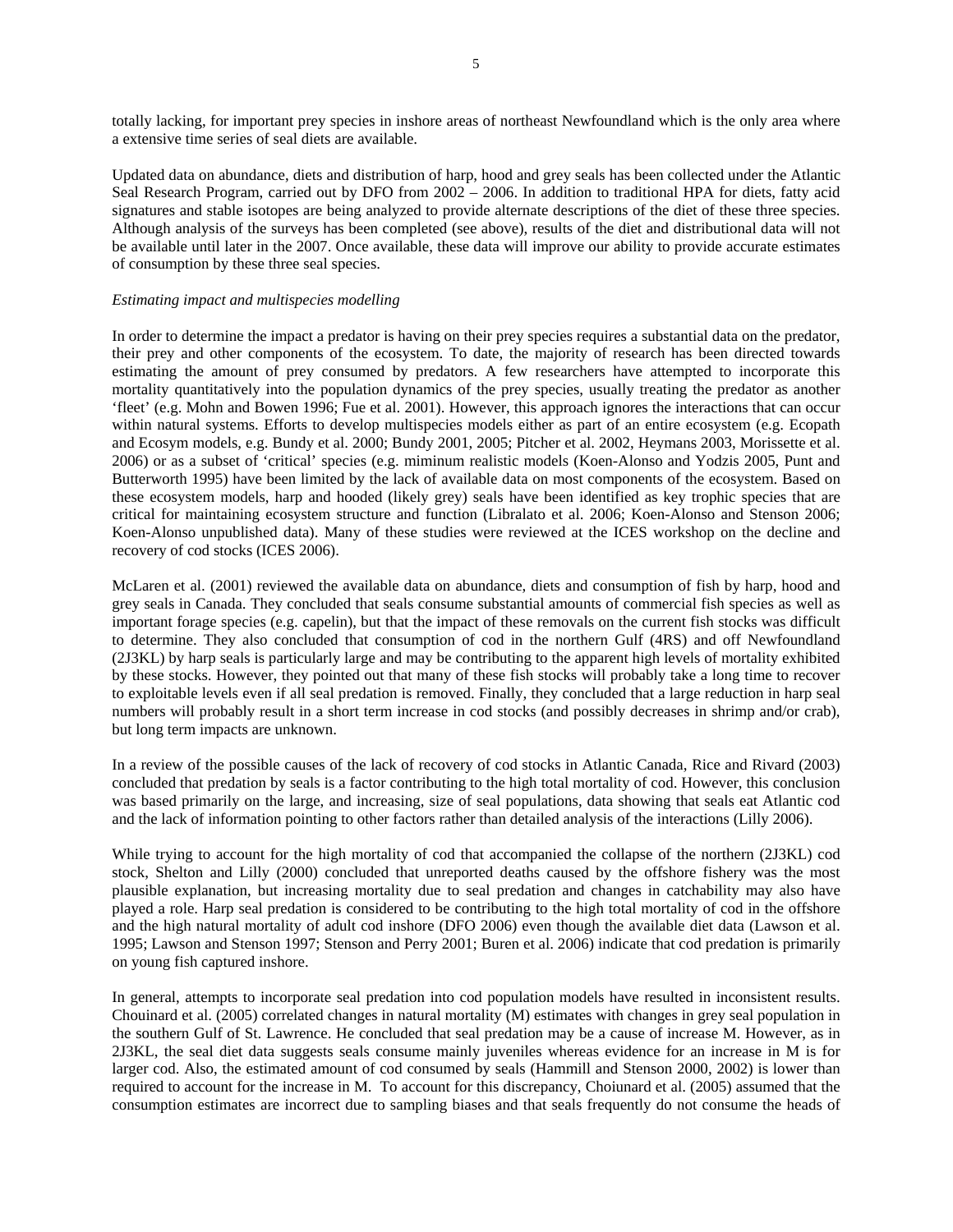totally lacking, for important prey species in inshore areas of northeast Newfoundland which is the only area where a extensive time series of seal diets are available.

Updated data on abundance, diets and distribution of harp, hood and grey seals has been collected under the Atlantic Seal Research Program, carried out by DFO from 2002 – 2006. In addition to traditional HPA for diets, fatty acid signatures and stable isotopes are being analyzed to provide alternate descriptions of the diet of these three species. Although analysis of the surveys has been completed (see above), results of the diet and distributional data will not be available until later in the 2007. Once available, these data will improve our ability to provide accurate estimates of consumption by these three seal species.

## *Estimating impact and multispecies modelling*

In order to determine the impact a predator is having on their prey species requires a substantial data on the predator, their prey and other components of the ecosystem. To date, the majority of research has been directed towards estimating the amount of prey consumed by predators. A few researchers have attempted to incorporate this mortality quantitatively into the population dynamics of the prey species, usually treating the predator as another 'fleet' (e.g. Mohn and Bowen 1996; Fue et al. 2001). However, this approach ignores the interactions that can occur within natural systems. Efforts to develop multispecies models either as part of an entire ecosystem (e.g. Ecopath and Ecosym models, e.g. Bundy et al. 2000; Bundy 2001, 2005; Pitcher et al. 2002, Heymans 2003, Morissette et al. 2006) or as a subset of 'critical' species (e.g. miminum realistic models (Koen-Alonso and Yodzis 2005, Punt and Butterworth 1995) have been limited by the lack of available data on most components of the ecosystem. Based on these ecosystem models, harp and hooded (likely grey) seals have been identified as key trophic species that are critical for maintaining ecosystem structure and function (Libralato et al. 2006; Koen-Alonso and Stenson 2006; Koen-Alonso unpublished data). Many of these studies were reviewed at the ICES workshop on the decline and recovery of cod stocks (ICES 2006).

McLaren et al. (2001) reviewed the available data on abundance, diets and consumption of fish by harp, hood and grey seals in Canada. They concluded that seals consume substantial amounts of commercial fish species as well as important forage species (e.g. capelin), but that the impact of these removals on the current fish stocks was difficult to determine. They also concluded that consumption of cod in the northern Gulf (4RS) and off Newfoundland (2J3KL) by harp seals is particularly large and may be contributing to the apparent high levels of mortality exhibited by these stocks. However, they pointed out that many of these fish stocks will probably take a long time to recover to exploitable levels even if all seal predation is removed. Finally, they concluded that a large reduction in harp seal numbers will probably result in a short term increase in cod stocks (and possibly decreases in shrimp and/or crab), but long term impacts are unknown.

In a review of the possible causes of the lack of recovery of cod stocks in Atlantic Canada, Rice and Rivard (2003) concluded that predation by seals is a factor contributing to the high total mortality of cod. However, this conclusion was based primarily on the large, and increasing, size of seal populations, data showing that seals eat Atlantic cod and the lack of information pointing to other factors rather than detailed analysis of the interactions (Lilly 2006).

While trying to account for the high mortality of cod that accompanied the collapse of the northern (2J3KL) cod stock, Shelton and Lilly (2000) concluded that unreported deaths caused by the offshore fishery was the most plausible explanation, but increasing mortality due to seal predation and changes in catchability may also have played a role. Harp seal predation is considered to be contributing to the high total mortality of cod in the offshore and the high natural mortality of adult cod inshore (DFO 2006) even though the available diet data (Lawson et al. 1995; Lawson and Stenson 1997; Stenson and Perry 2001; Buren et al. 2006) indicate that cod predation is primarily on young fish captured inshore.

In general, attempts to incorporate seal predation into cod population models have resulted in inconsistent results. Chouinard et al. (2005) correlated changes in natural mortality (M) estimates with changes in grey seal population in the southern Gulf of St. Lawrence. He concluded that seal predation may be a cause of increase M. However, as in 2J3KL, the seal diet data suggests seals consume mainly juveniles whereas evidence for an increase in M is for larger cod. Also, the estimated amount of cod consumed by seals (Hammill and Stenson 2000, 2002) is lower than required to account for the increase in M. To account for this discrepancy, Choiunard et al. (2005) assumed that the consumption estimates are incorrect due to sampling biases and that seals frequently do not consume the heads of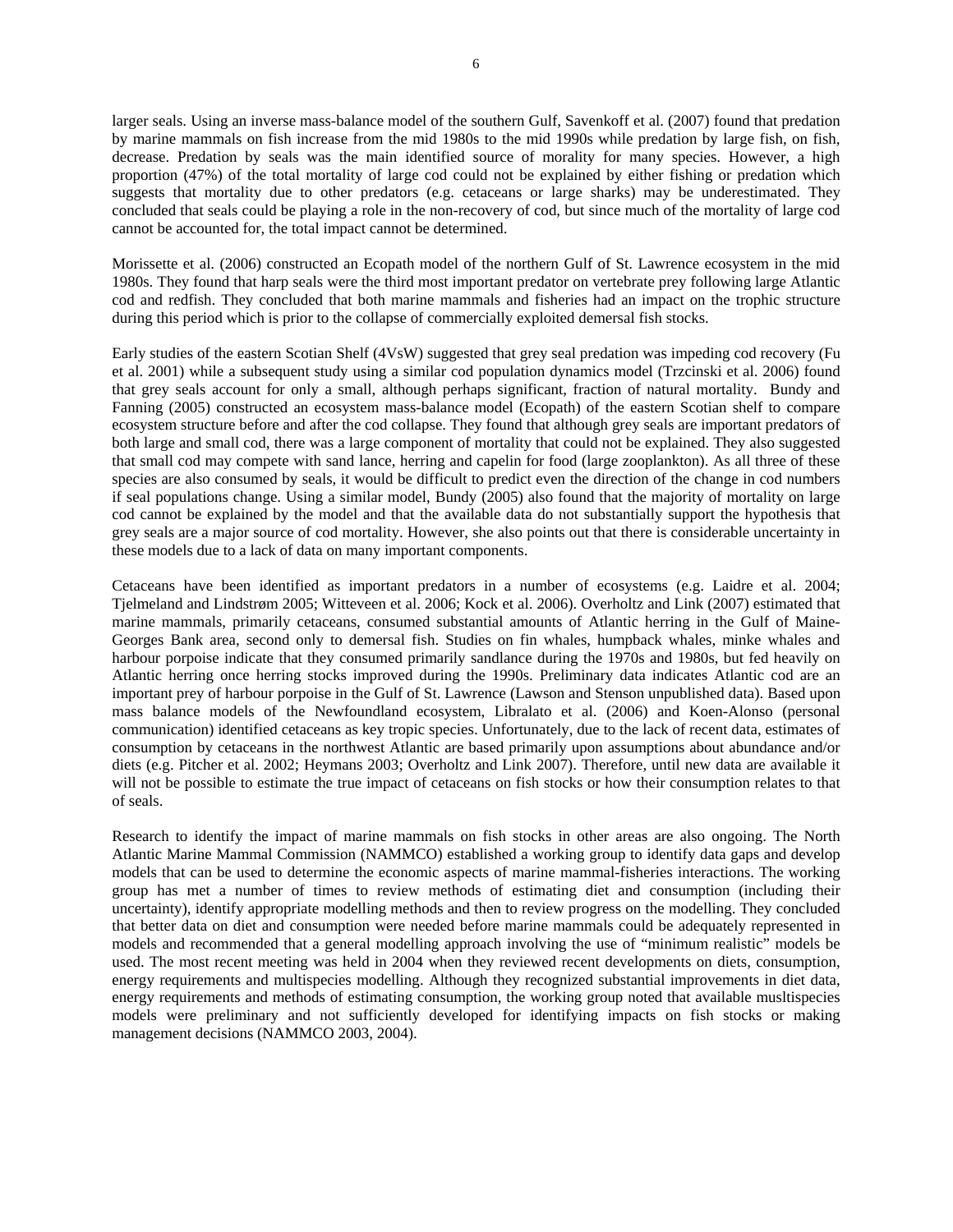larger seals. Using an inverse mass-balance model of the southern Gulf, Savenkoff et al. (2007) found that predation by marine mammals on fish increase from the mid 1980s to the mid 1990s while predation by large fish, on fish, decrease. Predation by seals was the main identified source of morality for many species. However, a high proportion (47%) of the total mortality of large cod could not be explained by either fishing or predation which suggests that mortality due to other predators (e.g. cetaceans or large sharks) may be underestimated. They concluded that seals could be playing a role in the non-recovery of cod, but since much of the mortality of large cod cannot be accounted for, the total impact cannot be determined.

Morissette et al. (2006) constructed an Ecopath model of the northern Gulf of St. Lawrence ecosystem in the mid 1980s. They found that harp seals were the third most important predator on vertebrate prey following large Atlantic cod and redfish. They concluded that both marine mammals and fisheries had an impact on the trophic structure during this period which is prior to the collapse of commercially exploited demersal fish stocks.

Early studies of the eastern Scotian Shelf (4VsW) suggested that grey seal predation was impeding cod recovery (Fu et al. 2001) while a subsequent study using a similar cod population dynamics model (Trzcinski et al. 2006) found that grey seals account for only a small, although perhaps significant, fraction of natural mortality. Bundy and Fanning (2005) constructed an ecosystem mass-balance model (Ecopath) of the eastern Scotian shelf to compare ecosystem structure before and after the cod collapse. They found that although grey seals are important predators of both large and small cod, there was a large component of mortality that could not be explained. They also suggested that small cod may compete with sand lance, herring and capelin for food (large zooplankton). As all three of these species are also consumed by seals, it would be difficult to predict even the direction of the change in cod numbers if seal populations change. Using a similar model, Bundy (2005) also found that the majority of mortality on large cod cannot be explained by the model and that the available data do not substantially support the hypothesis that grey seals are a major source of cod mortality. However, she also points out that there is considerable uncertainty in these models due to a lack of data on many important components.

Cetaceans have been identified as important predators in a number of ecosystems (e.g. Laidre et al. 2004; Tjelmeland and Lindstrøm 2005; Witteveen et al. 2006; Kock et al. 2006). Overholtz and Link (2007) estimated that marine mammals, primarily cetaceans, consumed substantial amounts of Atlantic herring in the Gulf of Maine-Georges Bank area, second only to demersal fish. Studies on fin whales, humpback whales, minke whales and harbour porpoise indicate that they consumed primarily sandlance during the 1970s and 1980s, but fed heavily on Atlantic herring once herring stocks improved during the 1990s. Preliminary data indicates Atlantic cod are an important prey of harbour porpoise in the Gulf of St. Lawrence (Lawson and Stenson unpublished data). Based upon mass balance models of the Newfoundland ecosystem, Libralato et al. (2006) and Koen-Alonso (personal communication) identified cetaceans as key tropic species. Unfortunately, due to the lack of recent data, estimates of consumption by cetaceans in the northwest Atlantic are based primarily upon assumptions about abundance and/or diets (e.g. Pitcher et al. 2002; Heymans 2003; Overholtz and Link 2007). Therefore, until new data are available it will not be possible to estimate the true impact of cetaceans on fish stocks or how their consumption relates to that of seals.

Research to identify the impact of marine mammals on fish stocks in other areas are also ongoing. The North Atlantic Marine Mammal Commission (NAMMCO) established a working group to identify data gaps and develop models that can be used to determine the economic aspects of marine mammal-fisheries interactions. The working group has met a number of times to review methods of estimating diet and consumption (including their uncertainty), identify appropriate modelling methods and then to review progress on the modelling. They concluded that better data on diet and consumption were needed before marine mammals could be adequately represented in models and recommended that a general modelling approach involving the use of "minimum realistic" models be used. The most recent meeting was held in 2004 when they reviewed recent developments on diets, consumption, energy requirements and multispecies modelling. Although they recognized substantial improvements in diet data, energy requirements and methods of estimating consumption, the working group noted that available musltispecies models were preliminary and not sufficiently developed for identifying impacts on fish stocks or making management decisions (NAMMCO 2003, 2004).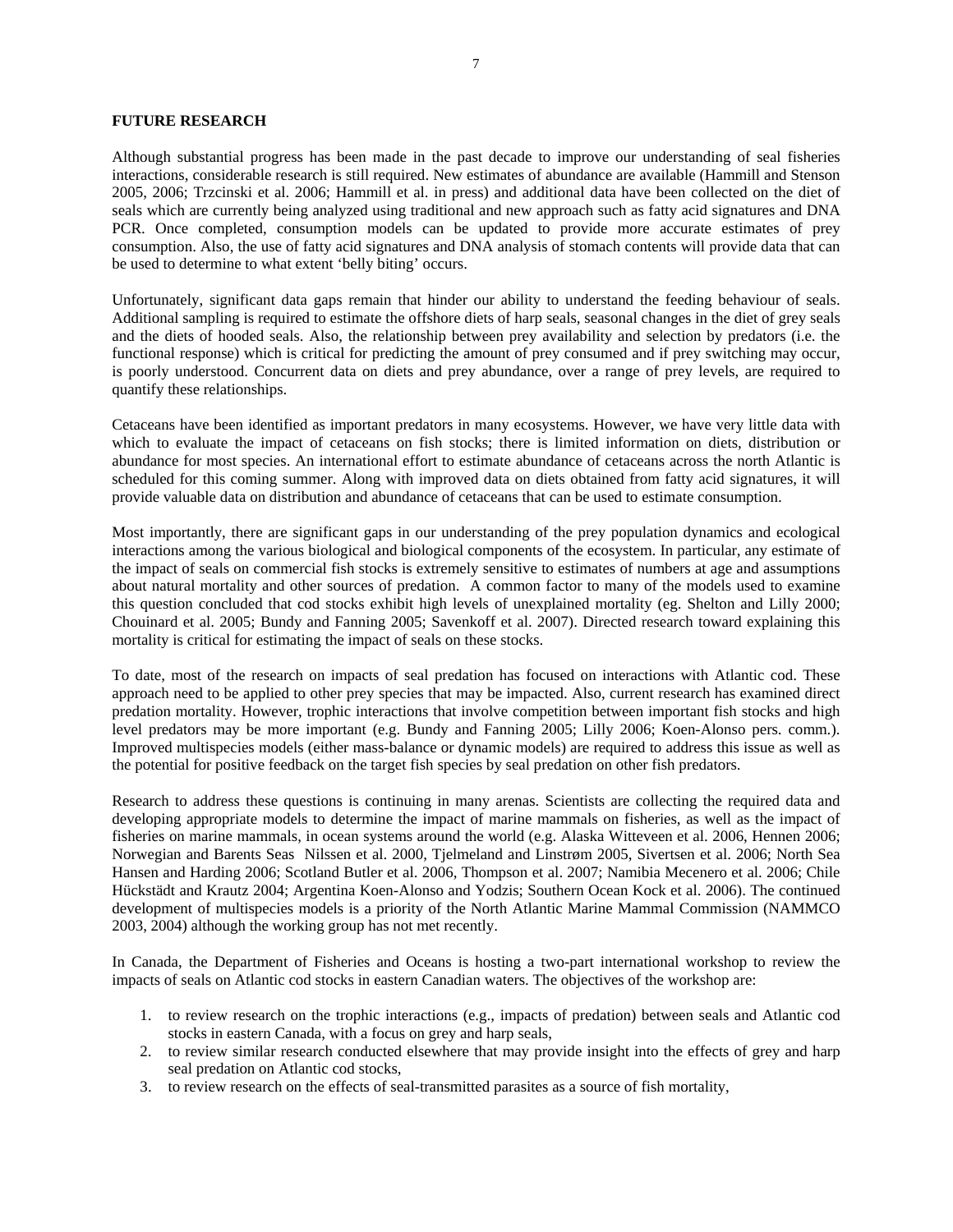## **FUTURE RESEARCH**

Although substantial progress has been made in the past decade to improve our understanding of seal fisheries interactions, considerable research is still required. New estimates of abundance are available (Hammill and Stenson 2005, 2006; Trzcinski et al. 2006; Hammill et al. in press) and additional data have been collected on the diet of seals which are currently being analyzed using traditional and new approach such as fatty acid signatures and DNA PCR. Once completed, consumption models can be updated to provide more accurate estimates of prey consumption. Also, the use of fatty acid signatures and DNA analysis of stomach contents will provide data that can be used to determine to what extent 'belly biting' occurs.

Unfortunately, significant data gaps remain that hinder our ability to understand the feeding behaviour of seals. Additional sampling is required to estimate the offshore diets of harp seals, seasonal changes in the diet of grey seals and the diets of hooded seals. Also, the relationship between prey availability and selection by predators (i.e. the functional response) which is critical for predicting the amount of prey consumed and if prey switching may occur, is poorly understood. Concurrent data on diets and prey abundance, over a range of prey levels, are required to quantify these relationships.

Cetaceans have been identified as important predators in many ecosystems. However, we have very little data with which to evaluate the impact of cetaceans on fish stocks; there is limited information on diets, distribution or abundance for most species. An international effort to estimate abundance of cetaceans across the north Atlantic is scheduled for this coming summer. Along with improved data on diets obtained from fatty acid signatures, it will provide valuable data on distribution and abundance of cetaceans that can be used to estimate consumption.

Most importantly, there are significant gaps in our understanding of the prey population dynamics and ecological interactions among the various biological and biological components of the ecosystem. In particular, any estimate of the impact of seals on commercial fish stocks is extremely sensitive to estimates of numbers at age and assumptions about natural mortality and other sources of predation. A common factor to many of the models used to examine this question concluded that cod stocks exhibit high levels of unexplained mortality (eg. Shelton and Lilly 2000; Chouinard et al. 2005; Bundy and Fanning 2005; Savenkoff et al. 2007). Directed research toward explaining this mortality is critical for estimating the impact of seals on these stocks.

To date, most of the research on impacts of seal predation has focused on interactions with Atlantic cod. These approach need to be applied to other prey species that may be impacted. Also, current research has examined direct predation mortality. However, trophic interactions that involve competition between important fish stocks and high level predators may be more important (e.g. Bundy and Fanning 2005; Lilly 2006; Koen-Alonso pers. comm.). Improved multispecies models (either mass-balance or dynamic models) are required to address this issue as well as the potential for positive feedback on the target fish species by seal predation on other fish predators.

Research to address these questions is continuing in many arenas. Scientists are collecting the required data and developing appropriate models to determine the impact of marine mammals on fisheries, as well as the impact of fisheries on marine mammals, in ocean systems around the world (e.g. Alaska Witteveen et al. 2006, Hennen 2006; Norwegian and Barents Seas Nilssen et al. 2000, Tjelmeland and Linstrøm 2005, Sivertsen et al. 2006; North Sea Hansen and Harding 2006; Scotland Butler et al. 2006, Thompson et al. 2007; Namibia Mecenero et al. 2006; Chile Hückstädt and Krautz 2004; Argentina Koen-Alonso and Yodzis; Southern Ocean Kock et al. 2006). The continued development of multispecies models is a priority of the North Atlantic Marine Mammal Commission (NAMMCO 2003, 2004) although the working group has not met recently.

In Canada, the Department of Fisheries and Oceans is hosting a two-part international workshop to review the impacts of seals on Atlantic cod stocks in eastern Canadian waters. The objectives of the workshop are:

- 1. to review research on the trophic interactions (e.g., impacts of predation) between seals and Atlantic cod stocks in eastern Canada, with a focus on grey and harp seals,
- 2. to review similar research conducted elsewhere that may provide insight into the effects of grey and harp seal predation on Atlantic cod stocks,
- 3. to review research on the effects of seal-transmitted parasites as a source of fish mortality,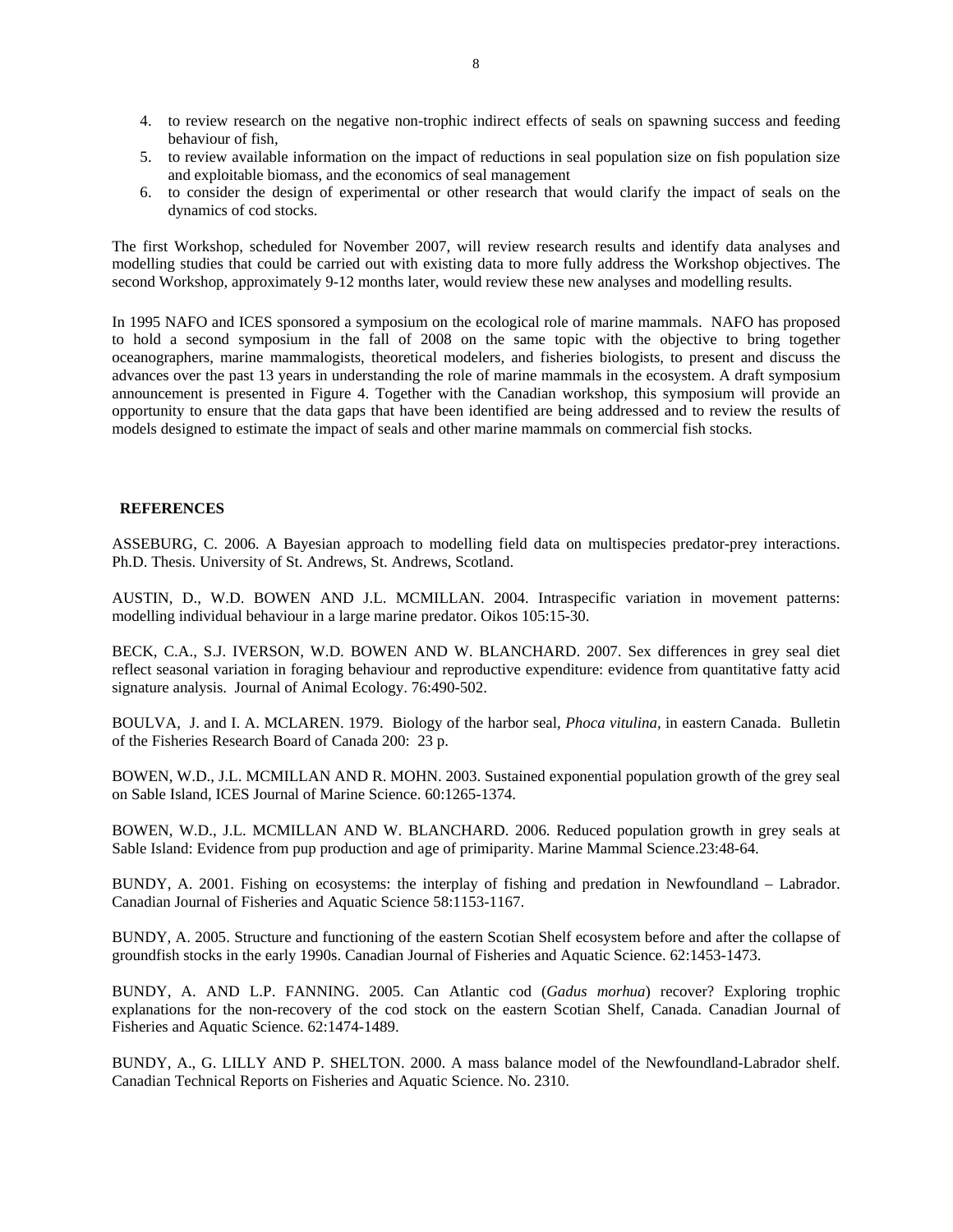- 4. to review research on the negative non-trophic indirect effects of seals on spawning success and feeding behaviour of fish,
- 5. to review available information on the impact of reductions in seal population size on fish population size and exploitable biomass, and the economics of seal management
- 6. to consider the design of experimental or other research that would clarify the impact of seals on the dynamics of cod stocks.

The first Workshop, scheduled for November 2007, will review research results and identify data analyses and modelling studies that could be carried out with existing data to more fully address the Workshop objectives. The second Workshop, approximately 9-12 months later, would review these new analyses and modelling results.

In 1995 NAFO and ICES sponsored a symposium on the ecological role of marine mammals. NAFO has proposed to hold a second symposium in the fall of 2008 on the same topic with the objective to bring together oceanographers, marine mammalogists, theoretical modelers, and fisheries biologists, to present and discuss the advances over the past 13 years in understanding the role of marine mammals in the ecosystem. A draft symposium announcement is presented in Figure 4. Together with the Canadian workshop, this symposium will provide an opportunity to ensure that the data gaps that have been identified are being addressed and to review the results of models designed to estimate the impact of seals and other marine mammals on commercial fish stocks.

## **REFERENCES**

ASSEBURG, C. 2006. A Bayesian approach to modelling field data on multispecies predator-prey interactions. Ph.D. Thesis. University of St. Andrews, St. Andrews, Scotland.

AUSTIN, D., W.D. BOWEN AND J.L. MCMILLAN. 2004. Intraspecific variation in movement patterns: modelling individual behaviour in a large marine predator. Oikos 105:15-30.

BECK, C.A., S.J. IVERSON, W.D. BOWEN AND W. BLANCHARD. 2007. Sex differences in grey seal diet reflect seasonal variation in foraging behaviour and reproductive expenditure: evidence from quantitative fatty acid signature analysis. Journal of Animal Ecology. 76:490-502.

BOULVA, J. and I. A. MCLAREN. 1979. Biology of the harbor seal, *Phoca vitulina,* in eastern Canada. Bulletin of the Fisheries Research Board of Canada 200: 23 p.

BOWEN, W.D., J.L. MCMILLAN AND R. MOHN. 2003. Sustained exponential population growth of the grey seal on Sable Island, ICES Journal of Marine Science. 60:1265-1374.

BOWEN, W.D., J.L. MCMILLAN AND W. BLANCHARD. 2006. Reduced population growth in grey seals at Sable Island: Evidence from pup production and age of primiparity. Marine Mammal Science.23:48-64.

BUNDY, A. 2001. Fishing on ecosystems: the interplay of fishing and predation in Newfoundland – Labrador. Canadian Journal of Fisheries and Aquatic Science 58:1153-1167.

BUNDY, A. 2005. Structure and functioning of the eastern Scotian Shelf ecosystem before and after the collapse of groundfish stocks in the early 1990s. Canadian Journal of Fisheries and Aquatic Science. 62:1453-1473.

BUNDY, A. AND L.P. FANNING. 2005. Can Atlantic cod (*Gadus morhua*) recover? Exploring trophic explanations for the non-recovery of the cod stock on the eastern Scotian Shelf, Canada. Canadian Journal of Fisheries and Aquatic Science. 62:1474-1489.

BUNDY, A., G. LILLY AND P. SHELTON. 2000. A mass balance model of the Newfoundland-Labrador shelf. Canadian Technical Reports on Fisheries and Aquatic Science. No. 2310.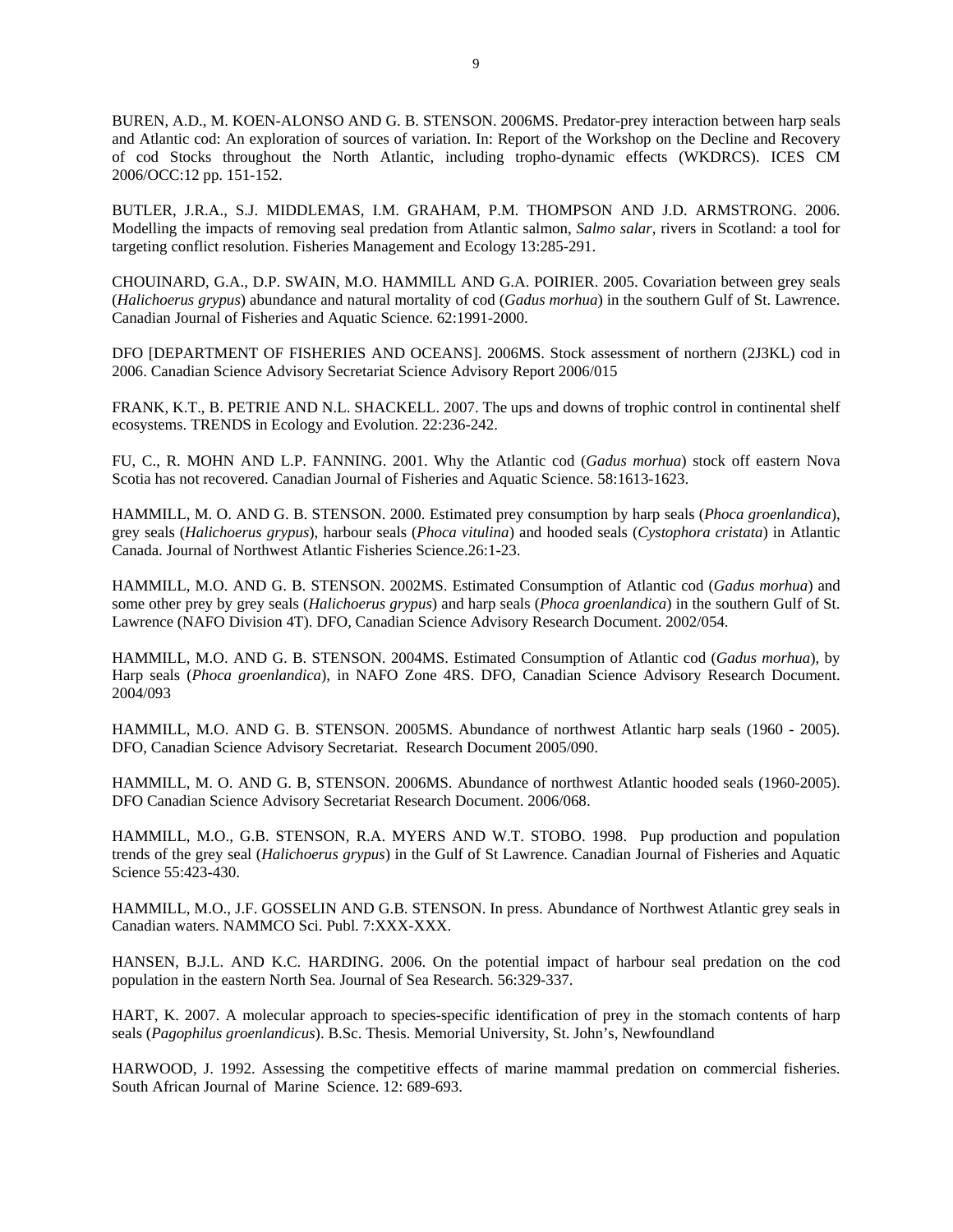BUREN, A.D., M. KOEN-ALONSO AND G. B. STENSON. 2006MS. Predator-prey interaction between harp seals and Atlantic cod: An exploration of sources of variation. In: Report of the Workshop on the Decline and Recovery of cod Stocks throughout the North Atlantic, including tropho-dynamic effects (WKDRCS). ICES CM 2006/OCC:12 pp. 151-152.

BUTLER, J.R.A., S.J. MIDDLEMAS, I.M. GRAHAM, P.M. THOMPSON AND J.D. ARMSTRONG. 2006. Modelling the impacts of removing seal predation from Atlantic salmon, *Salmo salar*, rivers in Scotland: a tool for targeting conflict resolution. Fisheries Management and Ecology 13:285-291.

CHOUINARD, G.A., D.P. SWAIN, M.O. HAMMILL AND G.A. POIRIER. 2005. Covariation between grey seals (*Halichoerus grypus*) abundance and natural mortality of cod (*Gadus morhua*) in the southern Gulf of St. Lawrence. Canadian Journal of Fisheries and Aquatic Science. 62:1991-2000.

DFO [DEPARTMENT OF FISHERIES AND OCEANS]. 2006MS. Stock assessment of northern (2J3KL) cod in 2006. Canadian Science Advisory Secretariat Science Advisory Report 2006/015

FRANK, K.T., B. PETRIE AND N.L. SHACKELL. 2007. The ups and downs of trophic control in continental shelf ecosystems. TRENDS in Ecology and Evolution. 22:236-242.

FU, C., R. MOHN AND L.P. FANNING. 2001. Why the Atlantic cod (*Gadus morhua*) stock off eastern Nova Scotia has not recovered. Canadian Journal of Fisheries and Aquatic Science. 58:1613-1623.

HAMMILL, M. O. AND G. B. STENSON. 2000. Estimated prey consumption by harp seals (*Phoca groenlandica*), grey seals (*Halichoerus grypus*), harbour seals (*Phoca vitulina*) and hooded seals (*Cystophora cristata*) in Atlantic Canada. Journal of Northwest Atlantic Fisheries Science.26:1-23.

HAMMILL, M.O. AND G. B. STENSON. 2002MS. Estimated Consumption of Atlantic cod (*Gadus morhua*) and some other prey by grey seals (*Halichoerus grypus*) and harp seals (*Phoca groenlandica*) in the southern Gulf of St. Lawrence (NAFO Division 4T). DFO, Canadian Science Advisory Research Document. 2002/054.

HAMMILL, M.O. AND G. B. STENSON. 2004MS. Estimated Consumption of Atlantic cod (*Gadus morhua*), by Harp seals (*Phoca groenlandica*), in NAFO Zone 4RS. DFO, Canadian Science Advisory Research Document. 2004/093

HAMMILL, M.O. AND G. B. STENSON. 2005MS. Abundance of northwest Atlantic harp seals (1960 - 2005). DFO, Canadian Science Advisory Secretariat. Research Document 2005/090.

HAMMILL, M. O. AND G. B, STENSON. 2006MS. Abundance of northwest Atlantic hooded seals (1960-2005). DFO Canadian Science Advisory Secretariat Research Document. 2006/068.

HAMMILL, M.O., G.B. STENSON, R.A. MYERS AND W.T. STOBO. 1998. Pup production and population trends of the grey seal (*Halichoerus grypus*) in the Gulf of St Lawrence. Canadian Journal of Fisheries and Aquatic Science 55:423-430.

HAMMILL, M.O., J.F. GOSSELIN AND G.B. STENSON. In press. Abundance of Northwest Atlantic grey seals in Canadian waters. NAMMCO Sci. Publ. 7:XXX-XXX.

HANSEN, B.J.L. AND K.C. HARDING. 2006. On the potential impact of harbour seal predation on the cod population in the eastern North Sea. Journal of Sea Research. 56:329-337.

HART, K. 2007. A molecular approach to species-specific identification of prey in the stomach contents of harp seals (*Pagophilus groenlandicus*). B.Sc. Thesis. Memorial University, St. John's, Newfoundland

HARWOOD, J. 1992. Assessing the competitive effects of marine mammal predation on commercial fisheries. South African Journal of Marine Science. 12: 689-693.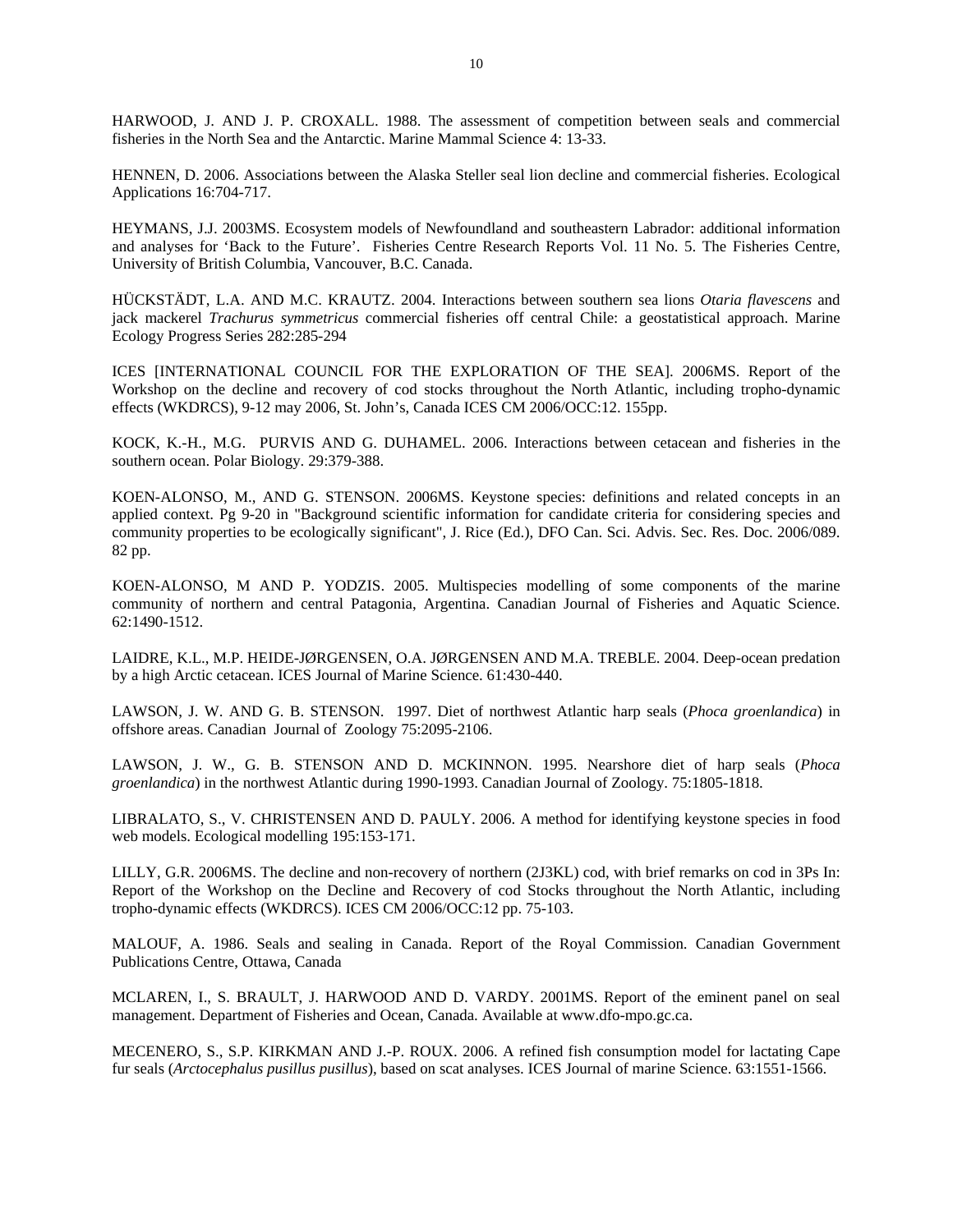HARWOOD, J. AND J. P. CROXALL. 1988. The assessment of competition between seals and commercial fisheries in the North Sea and the Antarctic. Marine Mammal Science 4: 13-33.

HENNEN, D. 2006. Associations between the Alaska Steller seal lion decline and commercial fisheries. Ecological Applications 16:704-717.

HEYMANS, J.J. 2003MS. Ecosystem models of Newfoundland and southeastern Labrador: additional information and analyses for 'Back to the Future'. Fisheries Centre Research Reports Vol. 11 No. 5. The Fisheries Centre, University of British Columbia, Vancouver, B.C. Canada.

HÜCKSTÄDT, L.A. AND M.C. KRAUTZ. 2004. Interactions between southern sea lions *Otaria flavescens* and jack mackerel *Trachurus symmetricus* commercial fisheries off central Chile: a geostatistical approach. Marine Ecology Progress Series 282:285-294

ICES [INTERNATIONAL COUNCIL FOR THE EXPLORATION OF THE SEA]. 2006MS. Report of the Workshop on the decline and recovery of cod stocks throughout the North Atlantic, including tropho-dynamic effects (WKDRCS), 9-12 may 2006, St. John's, Canada ICES CM 2006/OCC:12. 155pp.

KOCK, K.-H., M.G. PURVIS AND G. DUHAMEL. 2006. Interactions between cetacean and fisheries in the southern ocean. Polar Biology. 29:379-388.

KOEN-ALONSO, M., AND G. STENSON. 2006MS. Keystone species: definitions and related concepts in an applied context. Pg 9-20 in "Background scientific information for candidate criteria for considering species and community properties to be ecologically significant", J. Rice (Ed.), DFO Can. Sci. Advis. Sec. Res. Doc. 2006/089. 82 pp.

KOEN-ALONSO, M AND P. YODZIS. 2005. Multispecies modelling of some components of the marine community of northern and central Patagonia, Argentina. Canadian Journal of Fisheries and Aquatic Science. 62:1490-1512.

LAIDRE, K.L., M.P. HEIDE-JØRGENSEN, O.A. JØRGENSEN AND M.A. TREBLE. 2004. Deep-ocean predation by a high Arctic cetacean. ICES Journal of Marine Science. 61:430-440.

LAWSON, J. W. AND G. B. STENSON. 1997. Diet of northwest Atlantic harp seals (*Phoca groenlandica*) in offshore areas. Canadian Journal of Zoology 75:2095-2106.

LAWSON, J. W., G. B. STENSON AND D. MCKINNON. 1995. Nearshore diet of harp seals (*Phoca groenlandica*) in the northwest Atlantic during 1990-1993. Canadian Journal of Zoology. 75:1805-1818.

LIBRALATO, S., V. CHRISTENSEN AND D. PAULY. 2006. A method for identifying keystone species in food web models. Ecological modelling 195:153-171.

LILLY, G.R. 2006MS. The decline and non-recovery of northern (2J3KL) cod, with brief remarks on cod in 3Ps In: Report of the Workshop on the Decline and Recovery of cod Stocks throughout the North Atlantic, including tropho-dynamic effects (WKDRCS). ICES CM 2006/OCC:12 pp. 75-103.

MALOUF, A. 1986. Seals and sealing in Canada. Report of the Royal Commission. Canadian Government Publications Centre, Ottawa, Canada

MCLAREN, I., S. BRAULT, J. HARWOOD AND D. VARDY. 2001MS. Report of the eminent panel on seal management. Department of Fisheries and Ocean, Canada. Available at www.dfo-mpo.gc.ca.

MECENERO, S., S.P. KIRKMAN AND J.-P. ROUX. 2006. A refined fish consumption model for lactating Cape fur seals (*Arctocephalus pusillus pusillus*), based on scat analyses. ICES Journal of marine Science. 63:1551-1566.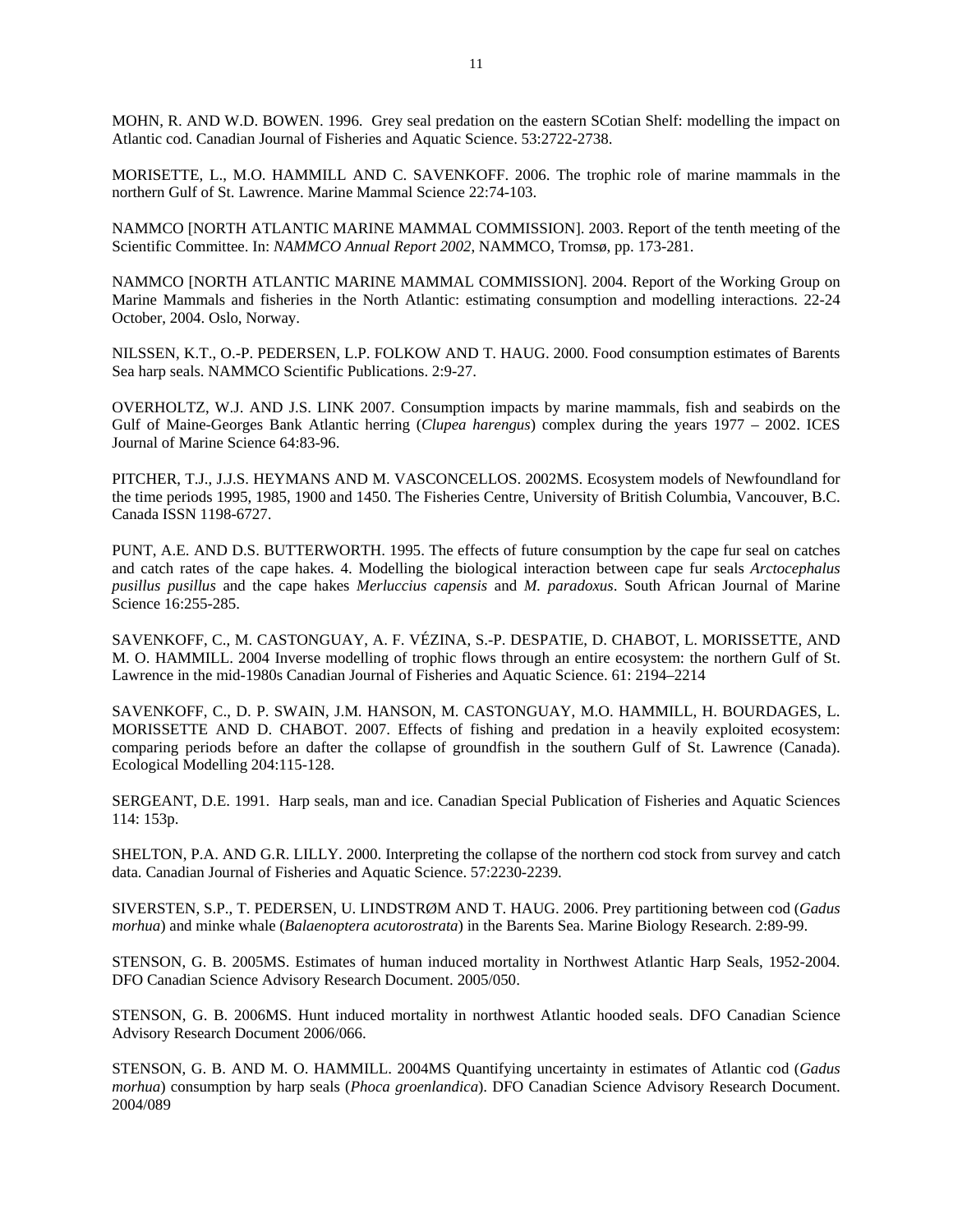MOHN, R. AND W.D. BOWEN. 1996. Grey seal predation on the eastern SCotian Shelf: modelling the impact on Atlantic cod. Canadian Journal of Fisheries and Aquatic Science. 53:2722-2738.

MORISETTE, L., M.O. HAMMILL AND C. SAVENKOFF. 2006. The trophic role of marine mammals in the northern Gulf of St. Lawrence. Marine Mammal Science 22:74-103.

NAMMCO [NORTH ATLANTIC MARINE MAMMAL COMMISSION]. 2003. Report of the tenth meeting of the Scientific Committee. In: *NAMMCO Annual Report 2002*, NAMMCO, Tromsø, pp. 173-281.

NAMMCO [NORTH ATLANTIC MARINE MAMMAL COMMISSION]. 2004. Report of the Working Group on Marine Mammals and fisheries in the North Atlantic: estimating consumption and modelling interactions. 22-24 October, 2004. Oslo, Norway.

NILSSEN, K.T., O.-P. PEDERSEN, L.P. FOLKOW AND T. HAUG. 2000. Food consumption estimates of Barents Sea harp seals. NAMMCO Scientific Publications. 2:9-27.

OVERHOLTZ, W.J. AND J.S. LINK 2007. Consumption impacts by marine mammals, fish and seabirds on the Gulf of Maine-Georges Bank Atlantic herring (*Clupea harengus*) complex during the years 1977 – 2002. ICES Journal of Marine Science 64:83-96.

PITCHER, T.J., J.J.S. HEYMANS AND M. VASCONCELLOS. 2002MS. Ecosystem models of Newfoundland for the time periods 1995, 1985, 1900 and 1450. The Fisheries Centre, University of British Columbia, Vancouver, B.C. Canada ISSN 1198-6727.

PUNT, A.E. AND D.S. BUTTERWORTH. 1995. The effects of future consumption by the cape fur seal on catches and catch rates of the cape hakes. 4. Modelling the biological interaction between cape fur seals *Arctocephalus pusillus pusillus* and the cape hakes *Merluccius capensis* and *M. paradoxus*. South African Journal of Marine Science 16:255-285.

SAVENKOFF, C., M. CASTONGUAY, A. F. VÉZINA, S.-P. DESPATIE, D. CHABOT, L. MORISSETTE, AND M. O. HAMMILL. 2004 Inverse modelling of trophic flows through an entire ecosystem: the northern Gulf of St. Lawrence in the mid-1980s Canadian Journal of Fisheries and Aquatic Science. 61: 2194–2214

SAVENKOFF, C., D. P. SWAIN, J.M. HANSON, M. CASTONGUAY, M.O. HAMMILL, H. BOURDAGES, L. MORISSETTE AND D. CHABOT. 2007. Effects of fishing and predation in a heavily exploited ecosystem: comparing periods before an dafter the collapse of groundfish in the southern Gulf of St. Lawrence (Canada). Ecological Modelling 204:115-128.

SERGEANT, D.E. 1991. Harp seals, man and ice. Canadian Special Publication of Fisheries and Aquatic Sciences 114: 153p.

SHELTON, P.A. AND G.R. LILLY. 2000. Interpreting the collapse of the northern cod stock from survey and catch data. Canadian Journal of Fisheries and Aquatic Science. 57:2230-2239.

SIVERSTEN, S.P., T. PEDERSEN, U. LINDSTRØM AND T. HAUG. 2006. Prey partitioning between cod (*Gadus morhua*) and minke whale (*Balaenoptera acutorostrata*) in the Barents Sea. Marine Biology Research. 2:89-99.

STENSON, G. B. 2005MS. Estimates of human induced mortality in Northwest Atlantic Harp Seals, 1952-2004. DFO Canadian Science Advisory Research Document. 2005/050.

STENSON, G. B. 2006MS. Hunt induced mortality in northwest Atlantic hooded seals. DFO Canadian Science Advisory Research Document 2006/066.

STENSON, G. B. AND M. O. HAMMILL. 2004MS Quantifying uncertainty in estimates of Atlantic cod (*Gadus morhua*) consumption by harp seals (*Phoca groenlandica*). DFO Canadian Science Advisory Research Document. 2004/089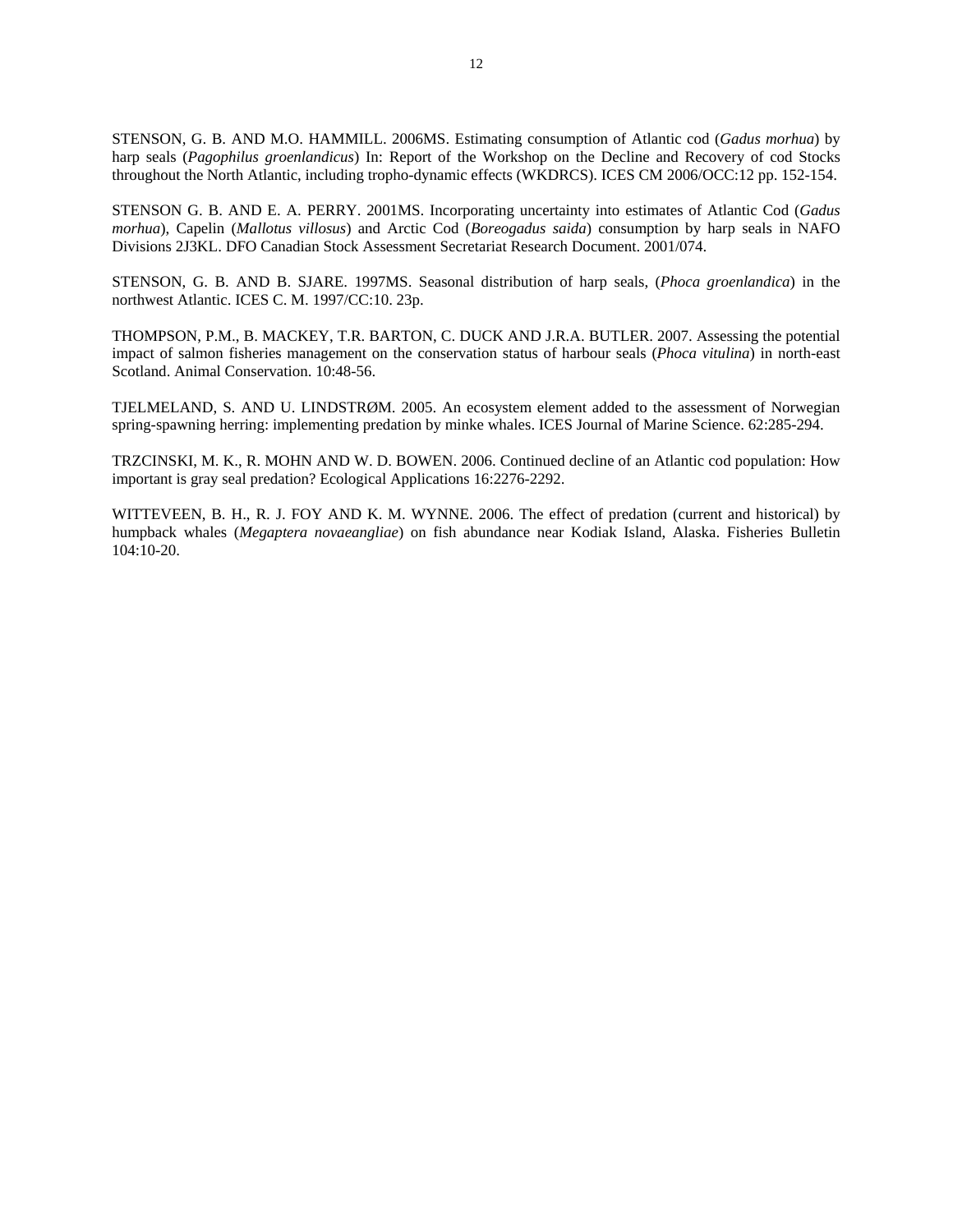STENSON, G. B. AND M.O. HAMMILL. 2006MS. Estimating consumption of Atlantic cod (*Gadus morhua*) by harp seals (*Pagophilus groenlandicus*) In: Report of the Workshop on the Decline and Recovery of cod Stocks throughout the North Atlantic, including tropho-dynamic effects (WKDRCS). ICES CM 2006/OCC:12 pp. 152-154.

STENSON G. B. AND E. A. PERRY. 2001MS. Incorporating uncertainty into estimates of Atlantic Cod (*Gadus morhua*), Capelin (*Mallotus villosus*) and Arctic Cod (*Boreogadus saida*) consumption by harp seals in NAFO Divisions 2J3KL. DFO Canadian Stock Assessment Secretariat Research Document. 2001/074.

STENSON, G. B. AND B. SJARE. 1997MS. Seasonal distribution of harp seals, (*Phoca groenlandica*) in the northwest Atlantic. ICES C. M. 1997/CC:10. 23p.

THOMPSON, P.M., B. MACKEY, T.R. BARTON, C. DUCK AND J.R.A. BUTLER. 2007. Assessing the potential impact of salmon fisheries management on the conservation status of harbour seals (*Phoca vitulina*) in north-east Scotland. Animal Conservation. 10:48-56.

TJELMELAND, S. AND U. LINDSTRØM. 2005. An ecosystem element added to the assessment of Norwegian spring-spawning herring: implementing predation by minke whales. ICES Journal of Marine Science. 62:285-294.

TRZCINSKI, M. K., R. MOHN AND W. D. BOWEN. 2006. Continued decline of an Atlantic cod population: How important is gray seal predation? Ecological Applications 16:2276-2292.

WITTEVEEN, B. H., R. J. FOY AND K. M. WYNNE. 2006. The effect of predation (current and historical) by humpback whales (*Megaptera novaeangliae*) on fish abundance near Kodiak Island, Alaska. Fisheries Bulletin 104:10-20.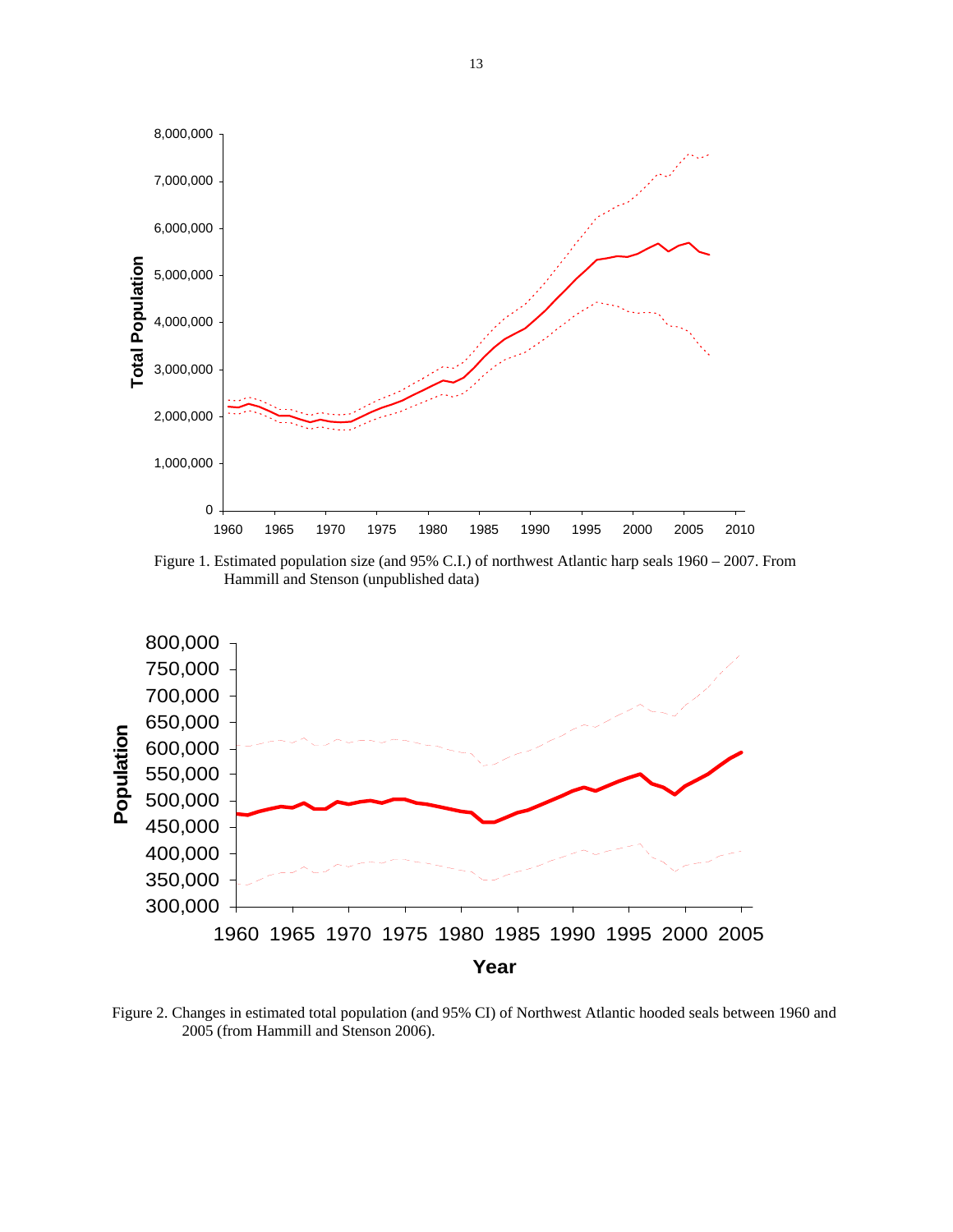

Figure 1. Estimated population size (and 95% C.I.) of northwest Atlantic harp seals 1960 – 2007. From Hammill and Stenson (unpublished data)



Figure 2. Changes in estimated total population (and 95% CI) of Northwest Atlantic hooded seals between 1960 and 2005 (from Hammill and Stenson 2006).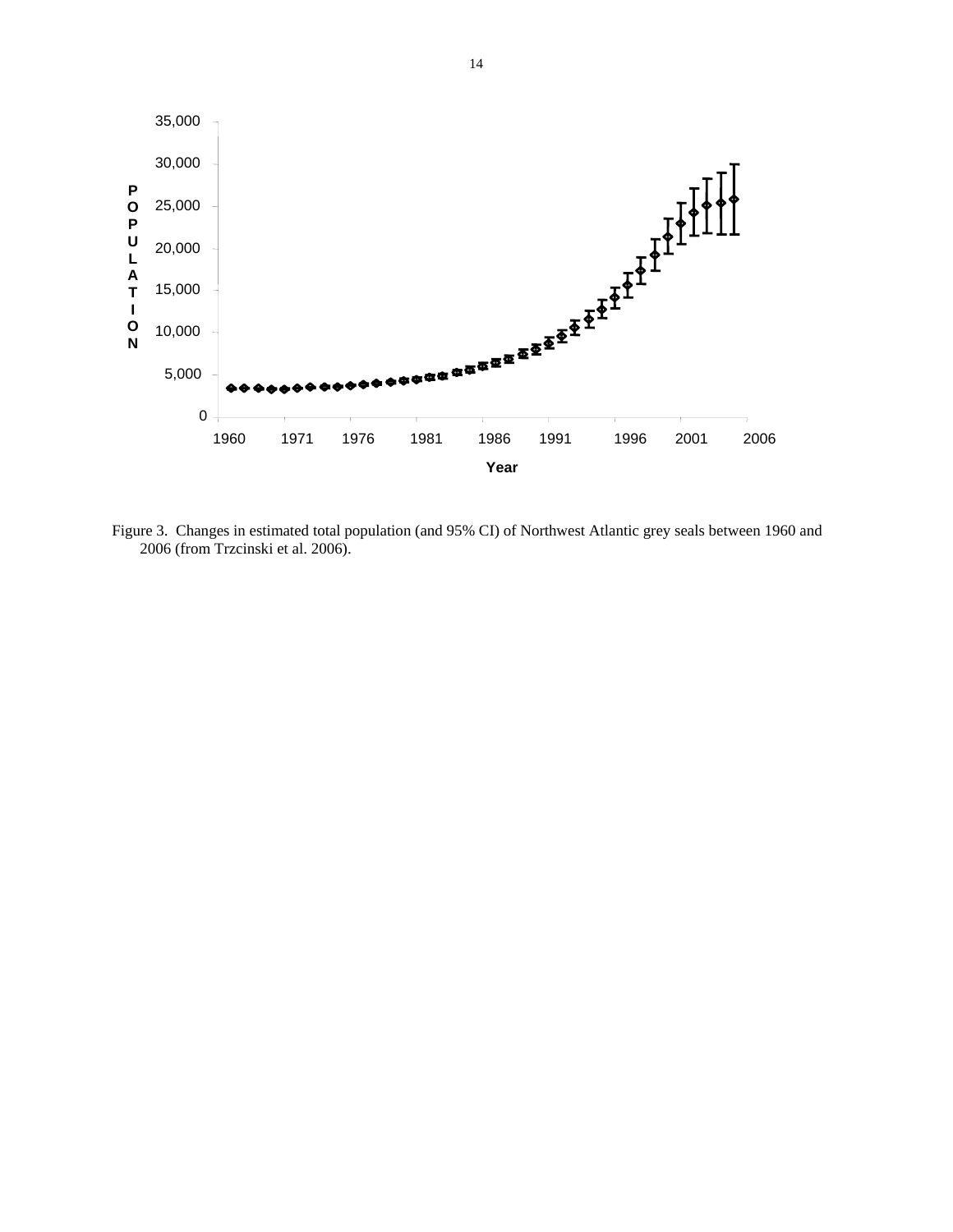

Figure 3. Changes in estimated total population (and 95% CI) of Northwest Atlantic grey seals between 1960 and 2006 (from Trzcinski et al. 2006).